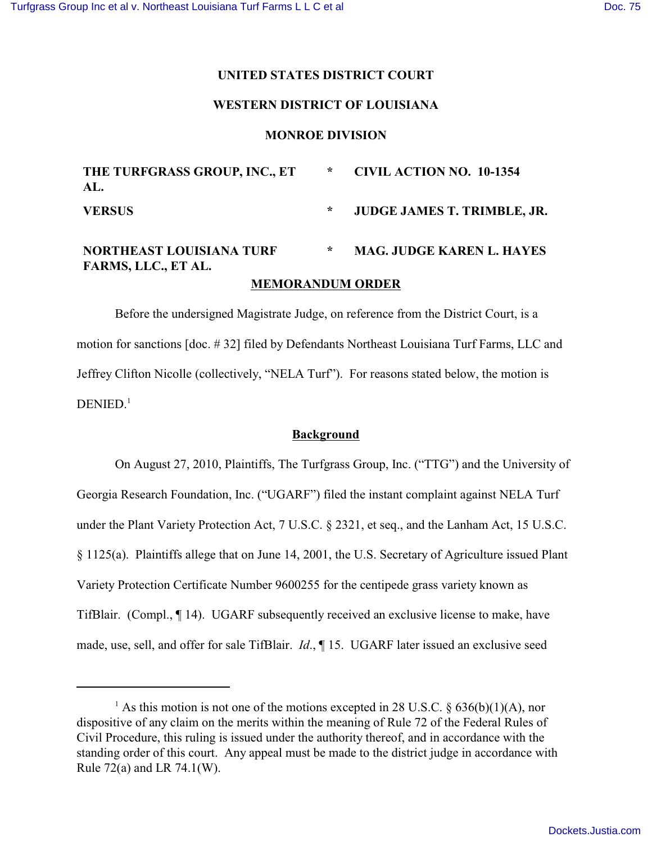## **UNITED STATES DISTRICT COURT**

# **WESTERN DISTRICT OF LOUISIANA**

#### **MONROE DIVISION**

| THE TURFGRASS GROUP, INC., ET<br>AL.                   | $\star$ | <b>CIVIL ACTION NO. 10-1354</b>  |
|--------------------------------------------------------|---------|----------------------------------|
| <b>VERSUS</b>                                          | $\star$ | JUDGE JAMES T. TRIMBLE, JR.      |
| <b>NORTHEAST LOUISIANA TURF</b><br>FARMS, LLC., ET AL. | $\ast$  | <b>MAG. JUDGE KAREN L. HAYES</b> |
| <b>MEMORANDUM ORDER</b>                                |         |                                  |

Before the undersigned Magistrate Judge, on reference from the District Court, is a motion for sanctions [doc. # 32] filed by Defendants Northeast Louisiana Turf Farms, LLC and Jeffrey Clifton Nicolle (collectively, "NELA Turf"). For reasons stated below, the motion is  $DENIED.<sup>1</sup>$ 

#### **Background**

On August 27, 2010, Plaintiffs, The Turfgrass Group, Inc. ("TTG") and the University of Georgia Research Foundation, Inc. ("UGARF") filed the instant complaint against NELA Turf under the Plant Variety Protection Act, 7 U.S.C. § 2321, et seq., and the Lanham Act, 15 U.S.C. § 1125(a). Plaintiffs allege that on June 14, 2001, the U.S. Secretary of Agriculture issued Plant Variety Protection Certificate Number 9600255 for the centipede grass variety known as TifBlair. (Compl., ¶ 14). UGARF subsequently received an exclusive license to make, have made, use, sell, and offer for sale TifBlair. *Id*., ¶ 15. UGARF later issued an exclusive seed

<sup>&</sup>lt;sup>1</sup> As this motion is not one of the motions excepted in 28 U.S.C. § 636(b)(1)(A), nor dispositive of any claim on the merits within the meaning of Rule 72 of the Federal Rules of Civil Procedure, this ruling is issued under the authority thereof, and in accordance with the standing order of this court. Any appeal must be made to the district judge in accordance with Rule 72(a) and LR 74.1(W).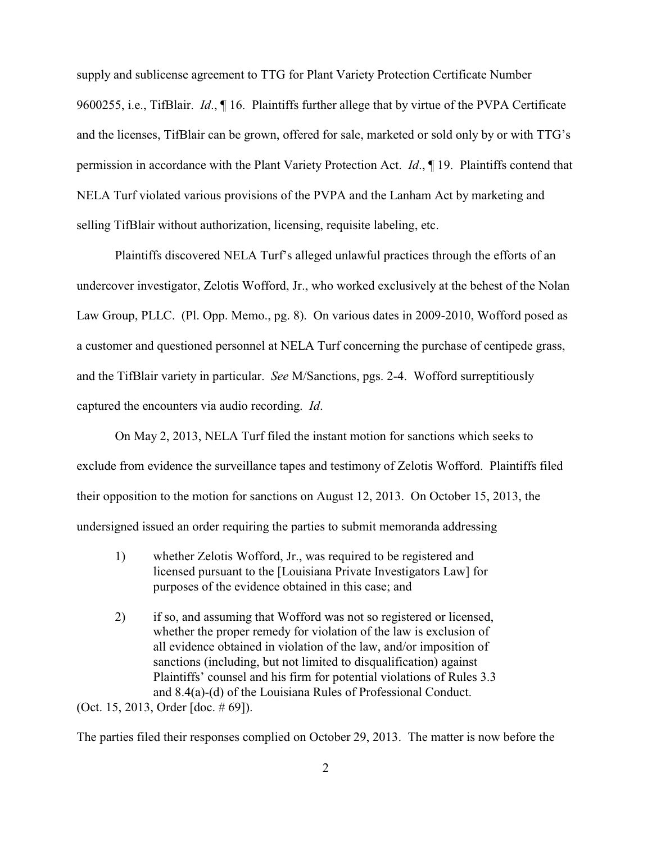supply and sublicense agreement to TTG for Plant Variety Protection Certificate Number 9600255, i.e., TifBlair. *Id*., ¶ 16. Plaintiffs further allege that by virtue of the PVPA Certificate and the licenses, TifBlair can be grown, offered for sale, marketed or sold only by or with TTG's permission in accordance with the Plant Variety Protection Act. *Id*., ¶ 19. Plaintiffs contend that NELA Turf violated various provisions of the PVPA and the Lanham Act by marketing and selling TifBlair without authorization, licensing, requisite labeling, etc.

Plaintiffs discovered NELA Turf's alleged unlawful practices through the efforts of an undercover investigator, Zelotis Wofford, Jr., who worked exclusively at the behest of the Nolan Law Group, PLLC. (Pl. Opp. Memo., pg. 8). On various dates in 2009-2010, Wofford posed as a customer and questioned personnel at NELA Turf concerning the purchase of centipede grass, and the TifBlair variety in particular. *See* M/Sanctions, pgs. 2-4. Wofford surreptitiously captured the encounters via audio recording. *Id*.

On May 2, 2013, NELA Turf filed the instant motion for sanctions which seeks to exclude from evidence the surveillance tapes and testimony of Zelotis Wofford. Plaintiffs filed their opposition to the motion for sanctions on August 12, 2013. On October 15, 2013, the undersigned issued an order requiring the parties to submit memoranda addressing

- 1) whether Zelotis Wofford, Jr., was required to be registered and licensed pursuant to the [Louisiana Private Investigators Law] for purposes of the evidence obtained in this case; and
- 2) if so, and assuming that Wofford was not so registered or licensed, whether the proper remedy for violation of the law is exclusion of all evidence obtained in violation of the law, and/or imposition of sanctions (including, but not limited to disqualification) against Plaintiffs' counsel and his firm for potential violations of Rules 3.3 and 8.4(a)-(d) of the Louisiana Rules of Professional Conduct. (Oct. 15, 2013, Order [doc. # 69]).

The parties filed their responses complied on October 29, 2013. The matter is now before the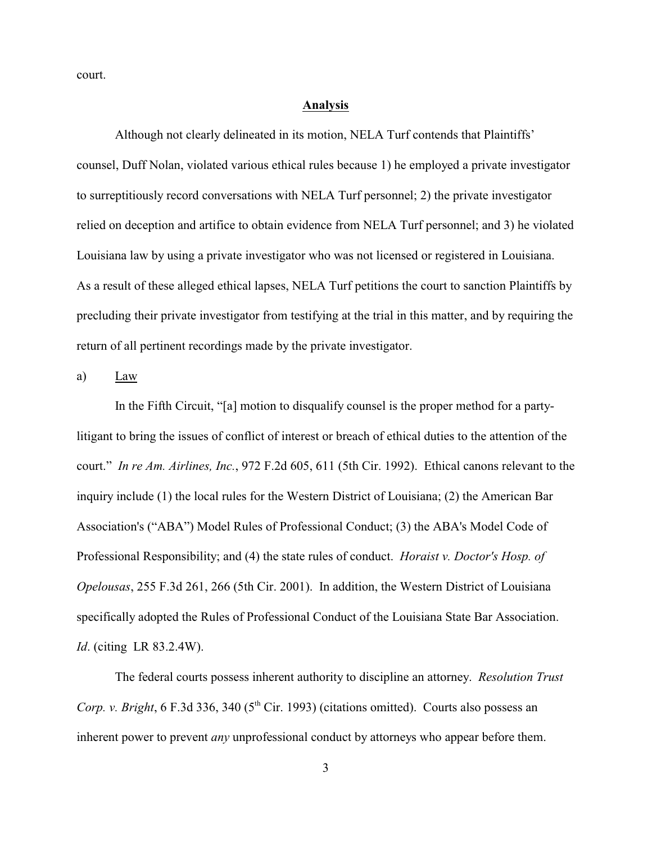court.

## **Analysis**

Although not clearly delineated in its motion, NELA Turf contends that Plaintiffs' counsel, Duff Nolan, violated various ethical rules because 1) he employed a private investigator to surreptitiously record conversations with NELA Turf personnel; 2) the private investigator relied on deception and artifice to obtain evidence from NELA Turf personnel; and 3) he violated Louisiana law by using a private investigator who was not licensed or registered in Louisiana. As a result of these alleged ethical lapses, NELA Turf petitions the court to sanction Plaintiffs by precluding their private investigator from testifying at the trial in this matter, and by requiring the return of all pertinent recordings made by the private investigator.

a) Law

In the Fifth Circuit, "[a] motion to disqualify counsel is the proper method for a partylitigant to bring the issues of conflict of interest or breach of ethical duties to the attention of the court." *In re Am. Airlines, Inc.*, 972 F.2d 605, 611 (5th Cir. 1992). Ethical canons relevant to the inquiry include (1) the local rules for the Western District of Louisiana; (2) the American Bar Association's ("ABA") Model Rules of Professional Conduct; (3) the ABA's Model Code of Professional Responsibility; and (4) the state rules of conduct. *Horaist v. Doctor's Hosp. of Opelousas*, 255 F.3d 261, 266 (5th Cir. 2001). In addition, the Western District of Louisiana specifically adopted the Rules of Professional Conduct of the Louisiana State Bar Association. *Id*. (citing LR 83.2.4W).

The federal courts possess inherent authority to discipline an attorney. *Resolution Trust Corp. v. Bright*, 6 F.3d 336, 340 (5<sup>th</sup> Cir. 1993) (citations omitted). Courts also possess an inherent power to prevent *any* unprofessional conduct by attorneys who appear before them.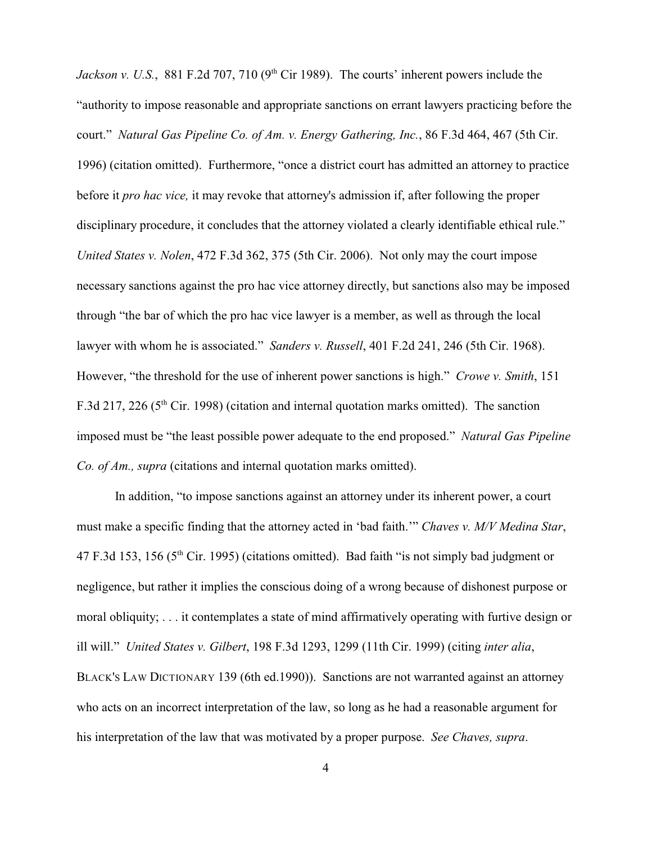*Jackson v. U.S.*, 881 F.2d 707, 710 ( $9<sup>th</sup>$  Cir 1989). The courts' inherent powers include the "authority to impose reasonable and appropriate sanctions on errant lawyers practicing before the court." *Natural Gas Pipeline Co. of Am. v. Energy Gathering, Inc.*, 86 F.3d 464, 467 (5th Cir. 1996) (citation omitted). Furthermore, "once a district court has admitted an attorney to practice before it *pro hac vice,* it may revoke that attorney's admission if, after following the proper disciplinary procedure, it concludes that the attorney violated a clearly identifiable ethical rule." *United States v. Nolen*, 472 F.3d 362, 375 (5th Cir. 2006). Not only may the court impose necessary sanctions against the pro hac vice attorney directly, but sanctions also may be imposed through "the bar of which the pro hac vice lawyer is a member, as well as through the local lawyer with whom he is associated." *Sanders v. Russell*, 401 F.2d 241, 246 (5th Cir. 1968). However, "the threshold for the use of inherent power sanctions is high." *Crowe v. Smith*, 151 F.3d 217, 226 ( $5<sup>th</sup>$  Cir. 1998) (citation and internal quotation marks omitted). The sanction imposed must be "the least possible power adequate to the end proposed." *Natural Gas Pipeline Co. of Am., supra* (citations and internal quotation marks omitted).

In addition, "to impose sanctions against an attorney under its inherent power, a court must make a specific finding that the attorney acted in 'bad faith.'" *Chaves v. M/V Medina Star*, 47 F.3d 153, 156 ( $5<sup>th</sup>$  Cir. 1995) (citations omitted). Bad faith "is not simply bad judgment or negligence, but rather it implies the conscious doing of a wrong because of dishonest purpose or moral obliquity; . . . it contemplates a state of mind affirmatively operating with furtive design or ill will." *United States v. Gilbert*, 198 F.3d 1293, 1299 (11th Cir. 1999) (citing *inter alia*, BLACK'S LAW DICTIONARY 139 (6th ed.1990)). Sanctions are not warranted against an attorney who acts on an incorrect interpretation of the law, so long as he had a reasonable argument for his interpretation of the law that was motivated by a proper purpose. *See Chaves, supra*.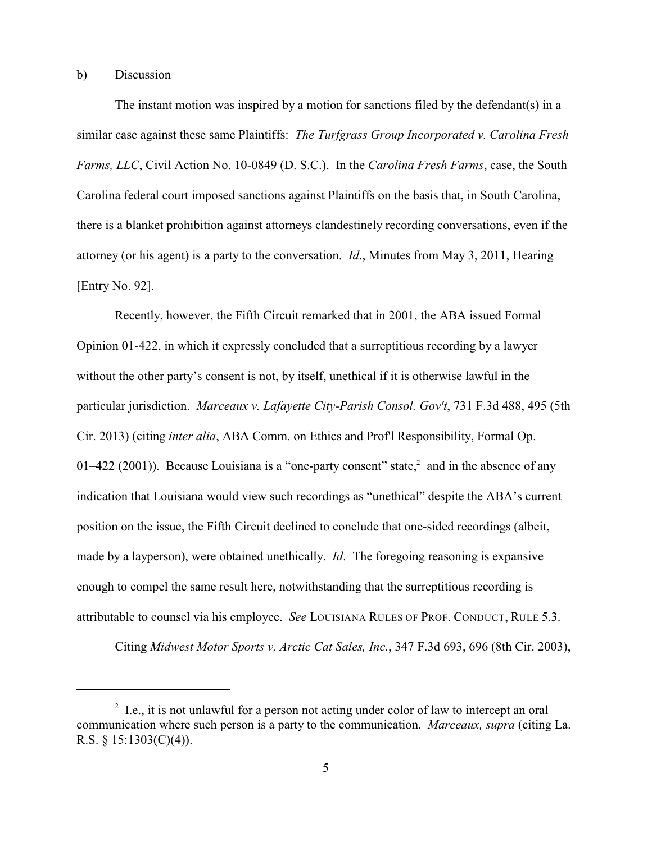## b) Discussion

The instant motion was inspired by a motion for sanctions filed by the defendant(s) in a similar case against these same Plaintiffs: *The Turfgrass Group Incorporated v. Carolina Fresh Farms, LLC*, Civil Action No. 10-0849 (D. S.C.). In the *Carolina Fresh Farms*, case, the South Carolina federal court imposed sanctions against Plaintiffs on the basis that, in South Carolina, there is a blanket prohibition against attorneys clandestinely recording conversations, even if the attorney (or his agent) is a party to the conversation. *Id*., Minutes from May 3, 2011, Hearing [Entry No. 92].

Recently, however, the Fifth Circuit remarked that in 2001, the ABA issued Formal Opinion 01-422, in which it expressly concluded that a surreptitious recording by a lawyer without the other party's consent is not, by itself, unethical if it is otherwise lawful in the particular jurisdiction. *Marceaux v. Lafayette City-Parish Consol. Gov't*, 731 F.3d 488, 495 (5th Cir. 2013) (citing *inter alia*, ABA Comm. on Ethics and Prof'l Responsibility, Formal Op. 01–422 (2001)). Because Louisiana is a "one-party consent" state,  $2 \text{ and in the absence of any}$ indication that Louisiana would view such recordings as "unethical" despite the ABA's current position on the issue, the Fifth Circuit declined to conclude that one-sided recordings (albeit, made by a layperson), were obtained unethically. *Id*. The foregoing reasoning is expansive enough to compel the same result here, notwithstanding that the surreptitious recording is attributable to counsel via his employee. *See* LOUISIANA RULES OF PROF. CONDUCT, RULE 5.3.

Citing *Midwest Motor Sports v. Arctic Cat Sales, Inc.*, 347 F.3d 693, 696 (8th Cir. 2003),

 $\frac{1}{2}$  I.e., it is not unlawful for a person not acting under color of law to intercept an oral communication where such person is a party to the communication. *Marceaux, supra* (citing La. R.S. § 15:1303(C)(4)).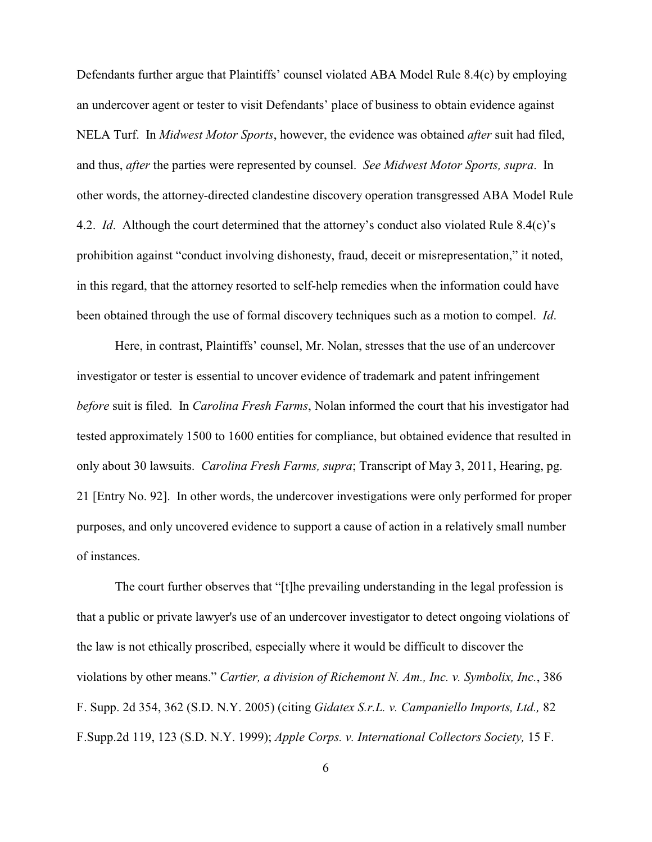Defendants further argue that Plaintiffs' counsel violated ABA Model Rule 8.4(c) by employing an undercover agent or tester to visit Defendants' place of business to obtain evidence against NELA Turf. In *Midwest Motor Sports*, however, the evidence was obtained *after* suit had filed, and thus, *after* the parties were represented by counsel. *See Midwest Motor Sports, supra*. In other words, the attorney-directed clandestine discovery operation transgressed ABA Model Rule 4.2. *Id*. Although the court determined that the attorney's conduct also violated Rule 8.4(c)'s prohibition against "conduct involving dishonesty, fraud, deceit or misrepresentation," it noted, in this regard, that the attorney resorted to self-help remedies when the information could have been obtained through the use of formal discovery techniques such as a motion to compel. *Id*.

Here, in contrast, Plaintiffs' counsel, Mr. Nolan, stresses that the use of an undercover investigator or tester is essential to uncover evidence of trademark and patent infringement *before* suit is filed. In *Carolina Fresh Farms*, Nolan informed the court that his investigator had tested approximately 1500 to 1600 entities for compliance, but obtained evidence that resulted in only about 30 lawsuits. *Carolina Fresh Farms, supra*; Transcript of May 3, 2011, Hearing, pg. 21 [Entry No. 92]. In other words, the undercover investigations were only performed for proper purposes, and only uncovered evidence to support a cause of action in a relatively small number of instances.

The court further observes that "[t]he prevailing understanding in the legal profession is that a public or private lawyer's use of an undercover investigator to detect ongoing violations of the law is not ethically proscribed, especially where it would be difficult to discover the violations by other means." *Cartier, a division of Richemont N. Am., Inc. v. Symbolix, Inc.*, 386 F. Supp. 2d 354, 362 (S.D. N.Y. 2005) (citing *Gidatex S.r.L. v. Campaniello Imports, Ltd.,* 82 F.Supp.2d 119, 123 (S.D. N.Y. 1999); *Apple Corps. v. International Collectors Society,* 15 F.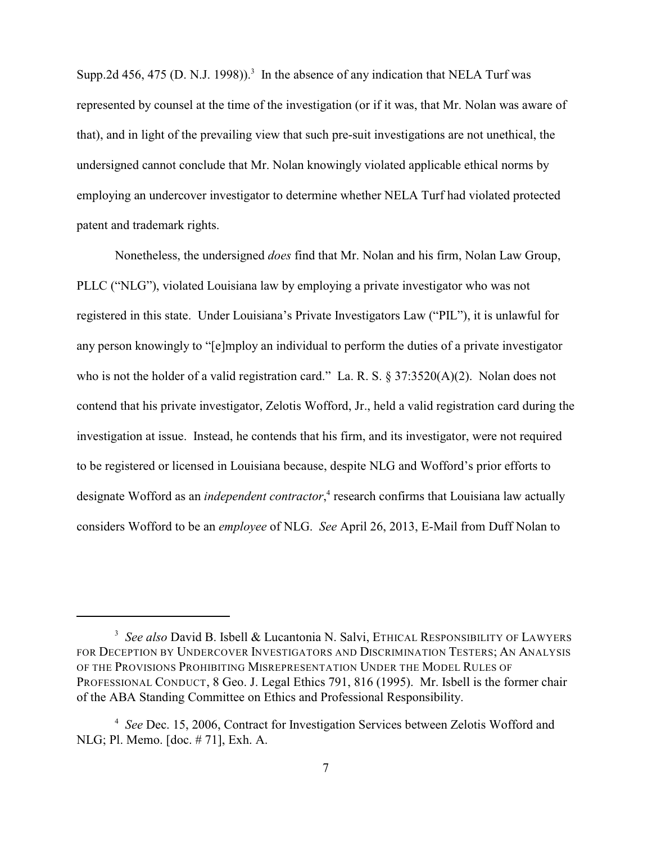Supp.2d 456, 475 (D. N.J. 1998)).<sup>3</sup> In the absence of any indication that NELA Turf was represented by counsel at the time of the investigation (or if it was, that Mr. Nolan was aware of that), and in light of the prevailing view that such pre-suit investigations are not unethical, the undersigned cannot conclude that Mr. Nolan knowingly violated applicable ethical norms by employing an undercover investigator to determine whether NELA Turf had violated protected patent and trademark rights.

Nonetheless, the undersigned *does* find that Mr. Nolan and his firm, Nolan Law Group, PLLC ("NLG"), violated Louisiana law by employing a private investigator who was not registered in this state. Under Louisiana's Private Investigators Law ("PIL"), it is unlawful for any person knowingly to "[e]mploy an individual to perform the duties of a private investigator who is not the holder of a valid registration card." La. R. S. § 37:3520(A)(2). Nolan does not contend that his private investigator, Zelotis Wofford, Jr., held a valid registration card during the investigation at issue. Instead, he contends that his firm, and its investigator, were not required to be registered or licensed in Louisiana because, despite NLG and Wofford's prior efforts to designate Wofford as an *independent contractor*,<sup>4</sup> research confirms that Louisiana law actually considers Wofford to be an *employee* of NLG. *See* April 26, 2013, E-Mail from Duff Nolan to

<sup>&</sup>lt;sup>3</sup> See also David B. Isbell & Lucantonia N. Salvi, ETHICAL RESPONSIBILITY OF LAWYERS FOR DECEPTION BY UNDERCOVER INVESTIGATORS AND DISCRIMINATION TESTERS; AN ANALYSIS OF THE PROVISIONS PROHIBITING MISREPRESENTATION UNDER THE MODEL RULES OF PROFESSIONAL CONDUCT, 8 Geo. J. Legal Ethics 791, 816 (1995). Mr. Isbell is the former chair of the ABA Standing Committee on Ethics and Professional Responsibility.

<sup>&</sup>lt;sup>4</sup> See Dec. 15, 2006, Contract for Investigation Services between Zelotis Wofford and NLG; Pl. Memo. [doc. # 71], Exh. A.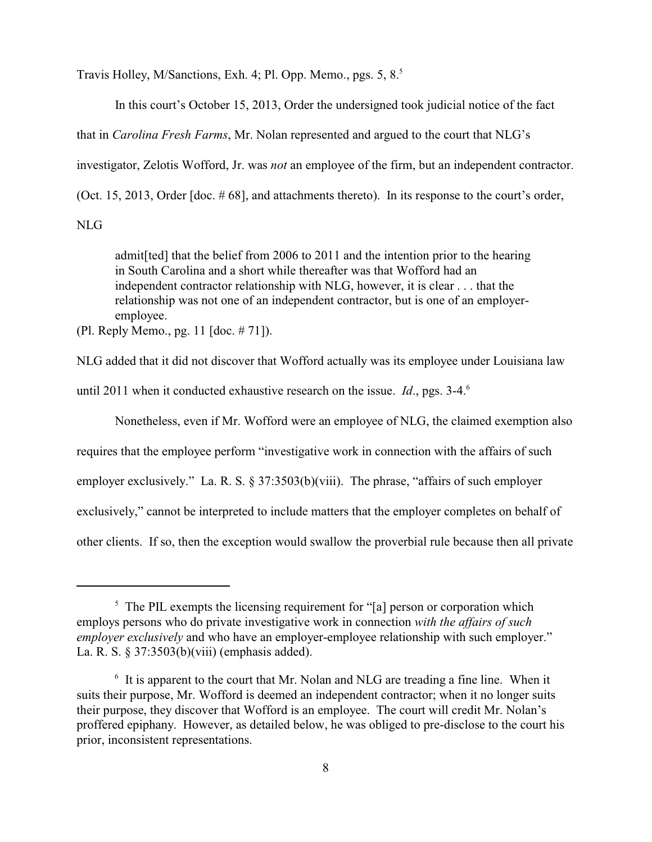Travis Holley, M/Sanctions, Exh. 4; Pl. Opp. Memo., pgs. 5, 8.<sup>5</sup>

In this court's October 15, 2013, Order the undersigned took judicial notice of the fact

that in *Carolina Fresh Farms*, Mr. Nolan represented and argued to the court that NLG's

investigator, Zelotis Wofford, Jr. was *not* an employee of the firm, but an independent contractor.

(Oct. 15, 2013, Order [doc. # 68], and attachments thereto). In its response to the court's order,

NLG

admit[ted] that the belief from 2006 to 2011 and the intention prior to the hearing in South Carolina and a short while thereafter was that Wofford had an independent contractor relationship with NLG, however, it is clear . . . that the relationship was not one of an independent contractor, but is one of an employeremployee.

(Pl. Reply Memo., pg. 11 [doc. # 71]).

NLG added that it did not discover that Wofford actually was its employee under Louisiana law until 2011 when it conducted exhaustive research on the issue. *Id*., pgs. 3-4. 6

Nonetheless, even if Mr. Wofford were an employee of NLG, the claimed exemption also requires that the employee perform "investigative work in connection with the affairs of such employer exclusively." La. R. S. § 37:3503(b)(viii). The phrase, "affairs of such employer exclusively," cannot be interpreted to include matters that the employer completes on behalf of other clients. If so, then the exception would swallow the proverbial rule because then all private

 $<sup>5</sup>$  The PIL exempts the licensing requirement for "[a] person or corporation which</sup> employs persons who do private investigative work in connection *with the affairs of such employer exclusively* and who have an employer-employee relationship with such employer." La. R. S. § 37:3503(b)(viii) (emphasis added).

 $\delta$  It is apparent to the court that Mr. Nolan and NLG are treading a fine line. When it suits their purpose, Mr. Wofford is deemed an independent contractor; when it no longer suits their purpose, they discover that Wofford is an employee. The court will credit Mr. Nolan's proffered epiphany. However, as detailed below, he was obliged to pre-disclose to the court his prior, inconsistent representations.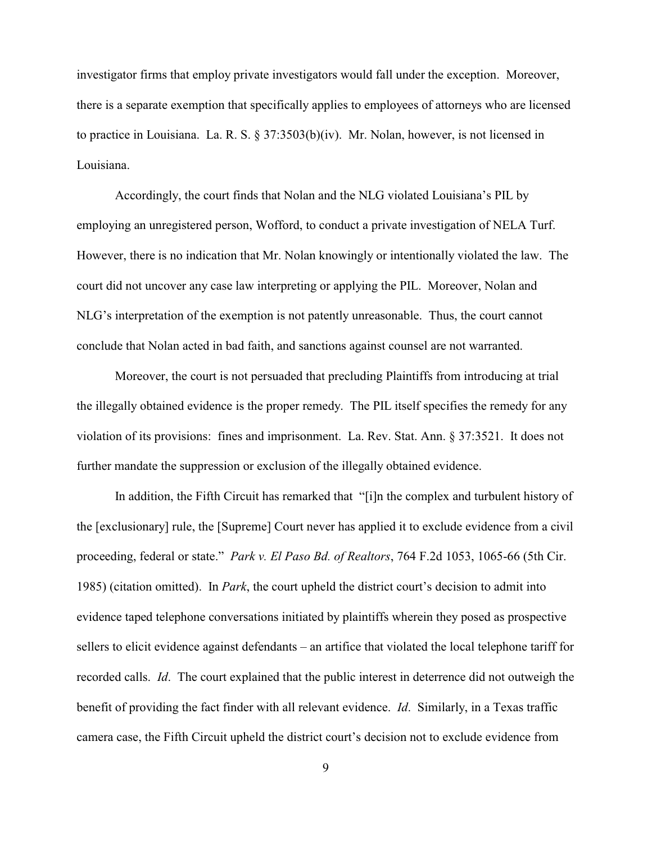investigator firms that employ private investigators would fall under the exception. Moreover, there is a separate exemption that specifically applies to employees of attorneys who are licensed to practice in Louisiana. La. R. S. § 37:3503(b)(iv). Mr. Nolan, however, is not licensed in Louisiana.

Accordingly, the court finds that Nolan and the NLG violated Louisiana's PIL by employing an unregistered person, Wofford, to conduct a private investigation of NELA Turf. However, there is no indication that Mr. Nolan knowingly or intentionally violated the law. The court did not uncover any case law interpreting or applying the PIL. Moreover, Nolan and NLG's interpretation of the exemption is not patently unreasonable. Thus, the court cannot conclude that Nolan acted in bad faith, and sanctions against counsel are not warranted.

Moreover, the court is not persuaded that precluding Plaintiffs from introducing at trial the illegally obtained evidence is the proper remedy. The PIL itself specifies the remedy for any violation of its provisions: fines and imprisonment. La. Rev. Stat. Ann. § 37:3521. It does not further mandate the suppression or exclusion of the illegally obtained evidence.

In addition, the Fifth Circuit has remarked that "[i]n the complex and turbulent history of the [exclusionary] rule, the [Supreme] Court never has applied it to exclude evidence from a civil proceeding, federal or state." *Park v. El Paso Bd. of Realtors*, 764 F.2d 1053, 1065-66 (5th Cir. 1985) (citation omitted). In *Park*, the court upheld the district court's decision to admit into evidence taped telephone conversations initiated by plaintiffs wherein they posed as prospective sellers to elicit evidence against defendants – an artifice that violated the local telephone tariff for recorded calls. *Id*. The court explained that the public interest in deterrence did not outweigh the benefit of providing the fact finder with all relevant evidence. *Id*. Similarly, in a Texas traffic camera case, the Fifth Circuit upheld the district court's decision not to exclude evidence from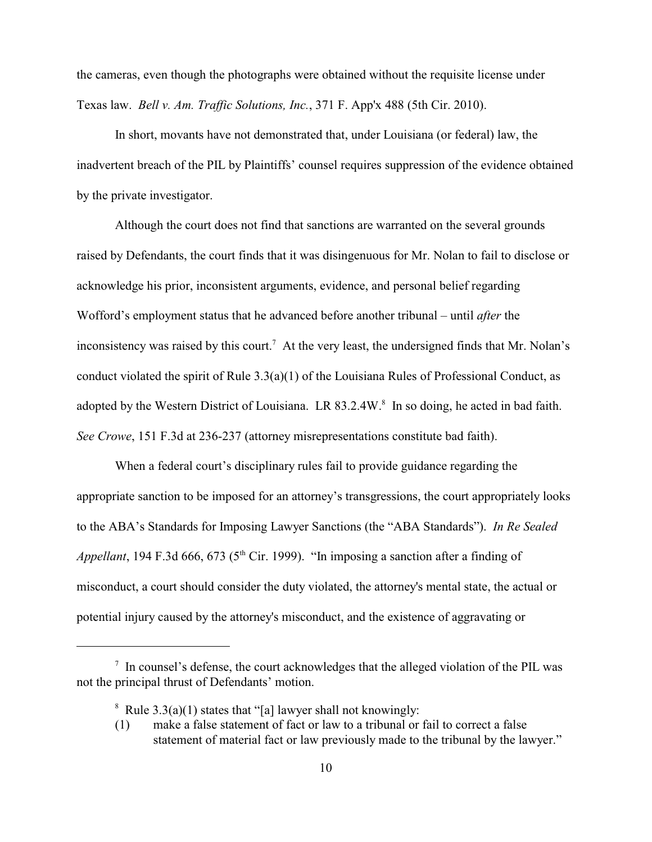the cameras, even though the photographs were obtained without the requisite license under Texas law. *Bell v. Am. Traffic Solutions, Inc.*, 371 F. App'x 488 (5th Cir. 2010).

In short, movants have not demonstrated that, under Louisiana (or federal) law, the inadvertent breach of the PIL by Plaintiffs' counsel requires suppression of the evidence obtained by the private investigator.

Although the court does not find that sanctions are warranted on the several grounds raised by Defendants, the court finds that it was disingenuous for Mr. Nolan to fail to disclose or acknowledge his prior, inconsistent arguments, evidence, and personal belief regarding Wofford's employment status that he advanced before another tribunal – until *after* the inconsistency was raised by this court.<sup>7</sup> At the very least, the undersigned finds that Mr. Nolan's conduct violated the spirit of Rule 3.3(a)(1) of the Louisiana Rules of Professional Conduct, as adopted by the Western District of Louisiana. LR 83.2.4W.<sup>8</sup> In so doing, he acted in bad faith. *See Crowe*, 151 F.3d at 236-237 (attorney misrepresentations constitute bad faith).

When a federal court's disciplinary rules fail to provide guidance regarding the appropriate sanction to be imposed for an attorney's transgressions, the court appropriately looks to the ABA's Standards for Imposing Lawyer Sanctions (the "ABA Standards"). *In Re Sealed Appellant*, 194 F.3d 666, 673 ( $5<sup>th</sup>$  Cir. 1999). "In imposing a sanction after a finding of misconduct, a court should consider the duty violated, the attorney's mental state, the actual or potential injury caused by the attorney's misconduct, and the existence of aggravating or

 $\frac{1}{1}$  In counsel's defense, the court acknowledges that the alleged violation of the PIL was not the principal thrust of Defendants' motion.

<sup>&</sup>lt;sup>8</sup> Rule  $3.3(a)(1)$  states that "[a] lawyer shall not knowingly:

<sup>(1)</sup> make a false statement of fact or law to a tribunal or fail to correct a false statement of material fact or law previously made to the tribunal by the lawyer."